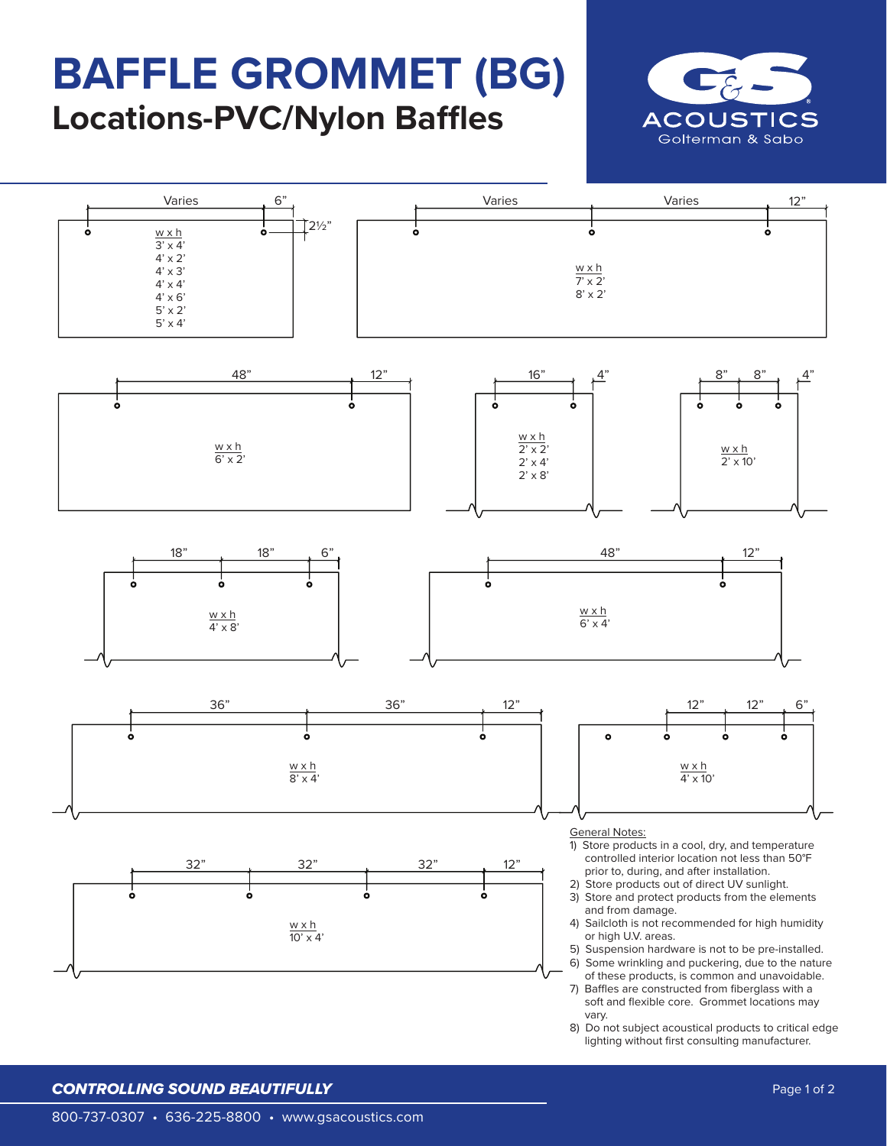# **BAFFLE GROMMET (BG) Locations-PVC/Nylon Baffles**











- 5) Suspension hardware is not to be pre-installed. 6) Some wrinkling and puckering, due to the nature
- of these products, is common and unavoidable. 7) Baffles are constructed from fiberglass with a soft and flexible core. Grommet locations may vary.
- 8) Do not subject acoustical products to critical edge lighting without first consulting manufacturer.

### *CONTROLLING SOUND BEAUTIFULLY*